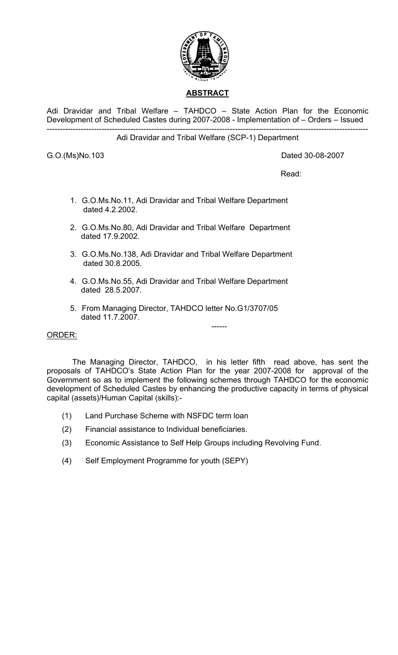

Adi Dravidar and Tribal Welfare – TAHDCO – State Action Plan for the Economic Development of Scheduled Castes during 2007-2008 - Implementation of – Orders – Issued ---------------------------------------------------------------------------------------------------------------------------

# Adi Dravidar and Tribal Welfare (SCP-1) Department

G.O.(Ms)No.103 Dated 30-08-2007

**Read:** The contract of the contract of the contract of the contract of the contract of the contract of the contract of the contract of the contract of the contract of the contract of the contract of the contract of the co

- 1. G.O.Ms.No.11, Adi Dravidar and Tribal Welfare Department dated 4.2.2002.
- 2. G.O.Ms.No.80, Adi Dravidar and Tribal Welfare Department dated 17.9.2002.
- 3. G.O.Ms.No.138, Adi Dravidar and Tribal Welfare Department dated 30.8.2005.
- 4. G.O.Ms.No.55, Adi Dravidar and Tribal Welfare Department dated 28.5.2007.
- 5. From Managing Director, TAHDCO letter No.G1/3707/05 dated 11.7.2007.

# ORDER:

 The Managing Director, TAHDCO, in his letter fifth read above, has sent the proposals of TAHDCO's State Action Plan for the year 2007-2008 for approval of the Government so as to implement the following schemes through TAHDCO for the economic development of Scheduled Castes by enhancing the productive capacity in terms of physical capital (assets)/Human Capital (skills):-

------

- (1) Land Purchase Scheme with NSFDC term loan
- (2) Financial assistance to Individual beneficiaries.
- (3) Economic Assistance to Self Help Groups including Revolving Fund.
- (4) Self Employment Programme for youth (SEPY)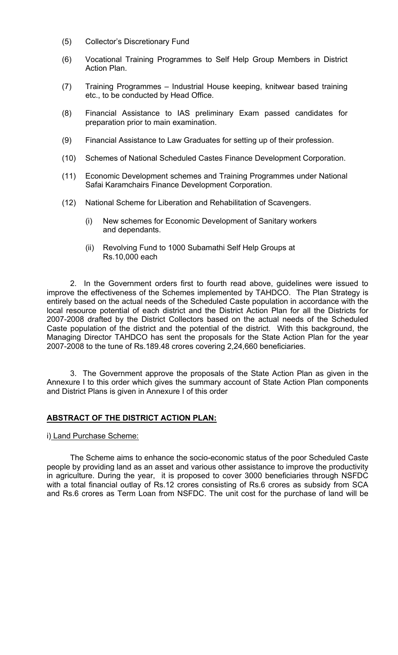- (5) Collector's Discretionary Fund
- (6) Vocational Training Programmes to Self Help Group Members in District Action Plan.
- (7) Training Programmes Industrial House keeping, knitwear based training etc., to be conducted by Head Office.
- (8) Financial Assistance to IAS preliminary Exam passed candidates for preparation prior to main examination.
- (9) Financial Assistance to Law Graduates for setting up of their profession.
- (10) Schemes of National Scheduled Castes Finance Development Corporation.
- (11) Economic Development schemes and Training Programmes under National Safai Karamchairs Finance Development Corporation.
- (12) National Scheme for Liberation and Rehabilitation of Scavengers.
	- (i) New schemes for Economic Development of Sanitary workers and dependants.
	- (ii) Revolving Fund to 1000 Subamathi Self Help Groups at Rs.10,000 each

 2. In the Government orders first to fourth read above, guidelines were issued to improve the effectiveness of the Schemes implemented by TAHDCO. The Plan Strategy is entirely based on the actual needs of the Scheduled Caste population in accordance with the local resource potential of each district and the District Action Plan for all the Districts for 2007-2008 drafted by the District Collectors based on the actual needs of the Scheduled Caste population of the district and the potential of the district. With this background, the Managing Director TAHDCO has sent the proposals for the State Action Plan for the year 2007-2008 to the tune of Rs.189.48 crores covering 2,24,660 beneficiaries.

 3. The Government approve the proposals of the State Action Plan as given in the Annexure I to this order which gives the summary account of State Action Plan components and District Plans is given in Annexure I of this order

# **ABSTRACT OF THE DISTRICT ACTION PLAN:**

# i) Land Purchase Scheme:

 The Scheme aims to enhance the socio-economic status of the poor Scheduled Caste people by providing land as an asset and various other assistance to improve the productivity in agriculture. During the year, it is proposed to cover 3000 beneficiaries through NSFDC with a total financial outlay of Rs.12 crores consisting of Rs.6 crores as subsidy from SCA and Rs.6 crores as Term Loan from NSFDC. The unit cost for the purchase of land will be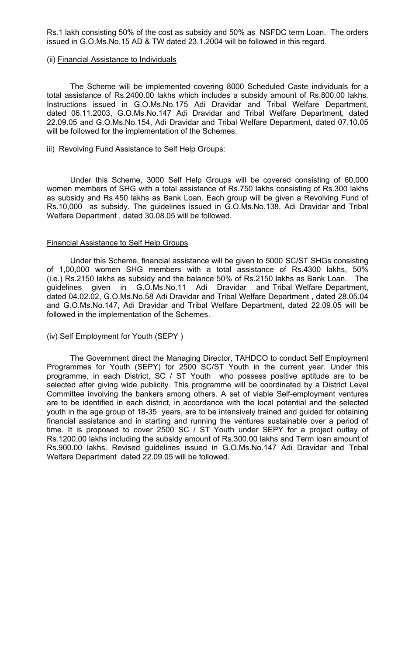Rs.1 lakh consisting 50% of the cost as subsidy and 50% as NSFDC term Loan. The orders issued in G.O.Ms.No.15 AD & TW dated 23.1.2004 will be followed in this regard.

#### (ii) Financial Assistance to Individuals

 The Scheme will be implemented covering 8000 Scheduled Caste individuals for a total assistance of Rs.2400.00 lakhs which includes a subsidy amount of Rs.800.00 lakhs. Instructions issued in G.O.Ms.No.175 Adi Dravidar and Tribal Welfare Department, dated 06.11.2003, G.O.Ms.No.147 Adi Dravidar and Tribal Welfare Department, dated 22.09.05 and G.O.Ms.No.154, Adi Dravidar and Tribal Welfare Department, dated 07.10.05 will be followed for the implementation of the Schemes.

#### iii) Revolving Fund Assistance to Self Help Groups:

 Under this Scheme, 3000 Self Help Groups will be covered consisting of 60,000 women members of SHG with a total assistance of Rs.750 lakhs consisting of Rs.300 lakhs as subsidy and Rs.450 lakhs as Bank Loan. Each group will be given a Revolving Fund of Rs.10,000 as subsidy. The guidelines issued in G.O.Ms.No.138, Adi Dravidar and Tribal Welfare Department , dated 30.08.05 will be followed.

#### Financial Assistance to Self Help Groups

 Under this Scheme, financial assistance will be given to 5000 SC/ST SHGs consisting of 1,00,000 women SHG members with a total assistance of Rs.4300 lakhs, 50% (i.e.) Rs.2150 lakhs as subsidy and the balance 50% of Rs.2150 lakhs as Bank Loan. The guidelines given in G.O.Ms.No.11 Adi Dravidar and Tribal Welfare Department, dated 04.02.02, G.O.Ms.No.58 Adi Dravidar and Tribal Welfare Department , dated 28.05.04 and G.O.Ms.No.147, Adi Dravidar and Tribal Welfare Department, dated 22.09.05 will be followed in the implementation of the Schemes.

# (iv) Self Employment for Youth (SEPY )

 The Government direct the Managing Director, TAHDCO to conduct Self Employment Programmes for Youth (SEPY) for 2500 SC/ST Youth in the current year. Under this programme, in each District, SC / ST Youth who possess positive aptitude are to be selected after giving wide publicity. This programme will be coordinated by a District Level Committee involving the bankers among others. A set of viable Self-employment ventures are to be identified in each district, in accordance with the local potential and the selected youth in the age group of 18-35 years, are to be intensively trained and guided for obtaining financial assistance and in starting and running the ventures sustainable over a period of time. It is proposed to cover 2500 SC / ST Youth under SEPY for a project outlay of Rs.1200.00 lakhs including the subsidy amount of Rs.300.00 lakhs and Term loan amount of Rs.900.00 lakhs. Revised guidelines issued in G.O.Ms.No.147 Adi Dravidar and Tribal Welfare Department dated 22.09.05 will be followed.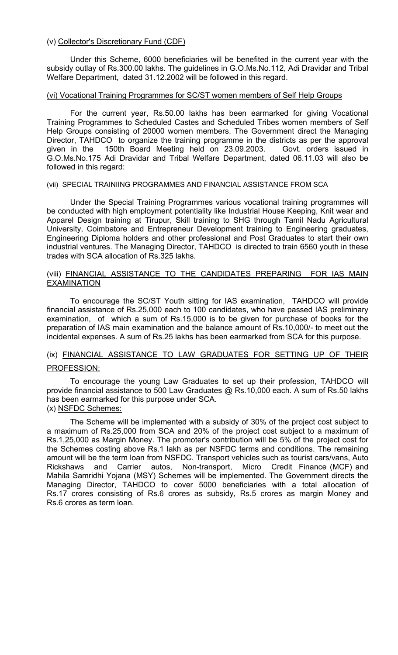# (v) Collector's Discretionary Fund (CDF)

 Under this Scheme, 6000 beneficiaries will be benefited in the current year with the subsidy outlay of Rs.300.00 lakhs. The guidelines in G.O.Ms.No.112, Adi Dravidar and Tribal Welfare Department, dated 31.12.2002 will be followed in this regard.

# (vi) Vocational Training Programmes for SC/ST women members of Self Help Groups

 For the current year, Rs.50.00 lakhs has been earmarked for giving Vocational Training Programmes to Scheduled Castes and Scheduled Tribes women members of Self Help Groups consisting of 20000 women members. The Government direct the Managing Director, TAHDCO to organize the training programme in the districts as per the approval given in the 150th Board Meeting held on 23.09.2003. Govt. orders issued in G.O.Ms.No.175 Adi Dravidar and Tribal Welfare Department, dated 06.11.03 will also be followed in this regard:

#### (vii) SPECIAL TRAINIING PROGRAMMES AND FINANCIAL ASSISTANCE FROM SCA

Under the Special Training Programmes various vocational training programmes will be conducted with high employment potentiality like Industrial House Keeping, Knit wear and Apparel Design training at Tirupur, Skill training to SHG through Tamil Nadu Agricultural University, Coimbatore and Entrepreneur Development training to Engineering graduates, Engineering Diploma holders and other professional and Post Graduates to start their own industrial ventures. The Managing Director, TAHDCO is directed to train 6560 youth in these trades with SCA allocation of Rs.325 lakhs.

# (viii) FINANCIAL ASSISTANCE TO THE CANDIDATES PREPARING FOR IAS MAIN **EXAMINATION**

To encourage the SC/ST Youth sitting for IAS examination, TAHDCO will provide financial assistance of Rs.25,000 each to 100 candidates, who have passed IAS preliminary examination, of which a sum of Rs.15,000 is to be given for purchase of books for the preparation of IAS main examination and the balance amount of Rs.10,000/- to meet out the incidental expenses. A sum of Rs.25 lakhs has been earmarked from SCA for this purpose.

# (ix) FINANCIAL ASSISTANCE TO LAW GRADUATES FOR SETTING UP OF THEIR

# PROFESSION:

 To encourage the young Law Graduates to set up their profession, TAHDCO will provide financial assistance to 500 Law Graduates @ Rs.10,000 each. A sum of Rs.50 lakhs has been earmarked for this purpose under SCA. (x) NSFDC Schemes:

# The Scheme will be implemented with a subsidy of 30% of the project cost subject to a maximum of Rs.25,000 from SCA and 20% of the project cost subject to a maximum of Rs.1,25,000 as Margin Money. The promoter's contribution will be 5% of the project cost for the Schemes costing above Rs.1 lakh as per NSFDC terms and conditions. The remaining amount will be the term loan from NSFDC. Transport vehicles such as tourist cars/vans, Auto Rickshaws and Carrier autos, Non-transport, Micro Credit Finance (MCF) and Mahila Samridhi Yojana (MSY) Schemes will be implemented. The Government directs the Managing Director, TAHDCO to cover 5000 beneficiaries with a total allocation of Rs.17 crores consisting of Rs.6 crores as subsidy, Rs.5 crores as margin Money and Rs.6 crores as term loan.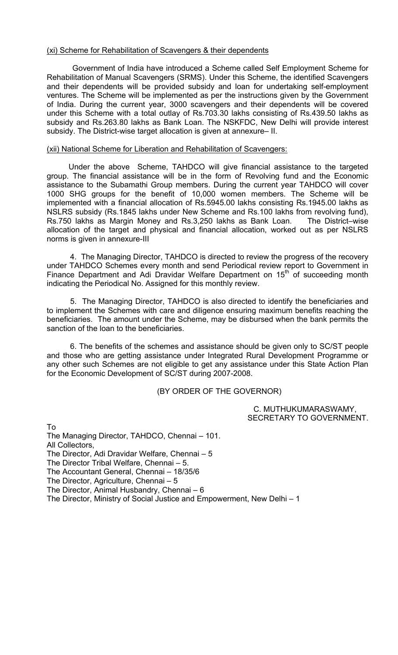# (xi) Scheme for Rehabilitation of Scavengers & their dependents

 Government of India have introduced a Scheme called Self Employment Scheme for Rehabilitation of Manual Scavengers (SRMS). Under this Scheme, the identified Scavengers and their dependents will be provided subsidy and loan for undertaking self-employment ventures. The Scheme will be implemented as per the instructions given by the Government of India. During the current year, 3000 scavengers and their dependents will be covered under this Scheme with a total outlay of Rs.703.30 lakhs consisting of Rs.439.50 lakhs as subsidy and Rs.263.80 lakhs as Bank Loan. The NSKFDC, New Delhi will provide interest subsidy. The District-wise target allocation is given at annexure– II.

# (xii) National Scheme for Liberation and Rehabilitation of Scavengers:

 Under the above Scheme, TAHDCO will give financial assistance to the targeted group. The financial assistance will be in the form of Revolving fund and the Economic assistance to the Subamathi Group members. During the current year TAHDCO will cover 1000 SHG groups for the benefit of 10,000 women members. The Scheme will be implemented with a financial allocation of Rs.5945.00 lakhs consisting Rs.1945.00 lakhs as NSLRS subsidy (Rs.1845 lakhs under New Scheme and Rs.100 lakhs from revolving fund), Rs.750 lakhs as Margin Money and Rs.3,250 lakhs as Bank Loan. The District–wise allocation of the target and physical and financial allocation, worked out as per NSLRS norms is given in annexure-III

4. The Managing Director, TAHDCO is directed to review the progress of the recovery under TAHDCO Schemes every month and send Periodical review report to Government in Finance Department and Adi Dravidar Welfare Department on 15<sup>th</sup> of succeeding month indicating the Periodical No. Assigned for this monthly review.

 5. The Managing Director, TAHDCO is also directed to identify the beneficiaries and to implement the Schemes with care and diligence ensuring maximum benefits reaching the beneficiaries. The amount under the Scheme, may be disbursed when the bank permits the sanction of the loan to the beneficiaries.

6. The benefits of the schemes and assistance should be given only to SC/ST people and those who are getting assistance under Integrated Rural Development Programme or any other such Schemes are not eligible to get any assistance under this State Action Plan for the Economic Development of SC/ST during 2007-2008.

(BY ORDER OF THE GOVERNOR)

 C. MUTHUKUMARASWAMY, SECRETARY TO GOVERNMENT.

To The Managing Director, TAHDCO, Chennai – 101. All Collectors, The Director, Adi Dravidar Welfare, Chennai – 5 The Director Tribal Welfare, Chennai – 5. The Accountant General, Chennai – 18/35/6 The Director, Agriculture, Chennai – 5 The Director, Animal Husbandry, Chennai – 6 The Director, Ministry of Social Justice and Empowerment, New Delhi – 1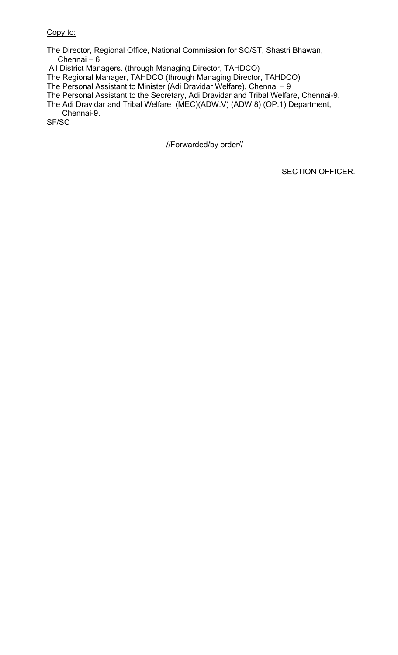# Copy to:

The Director, Regional Office, National Commission for SC/ST, Shastri Bhawan, Chennai – 6

All District Managers. (through Managing Director, TAHDCO)

The Regional Manager, TAHDCO (through Managing Director, TAHDCO)

The Personal Assistant to Minister (Adi Dravidar Welfare), Chennai – 9

The Personal Assistant to the Secretary, Adi Dravidar and Tribal Welfare, Chennai-9.

The Adi Dravidar and Tribal Welfare (MEC)(ADW.V) (ADW.8) (OP.1) Department, Chennai-9.

SF/SC

//Forwarded/by order//

SECTION OFFICER.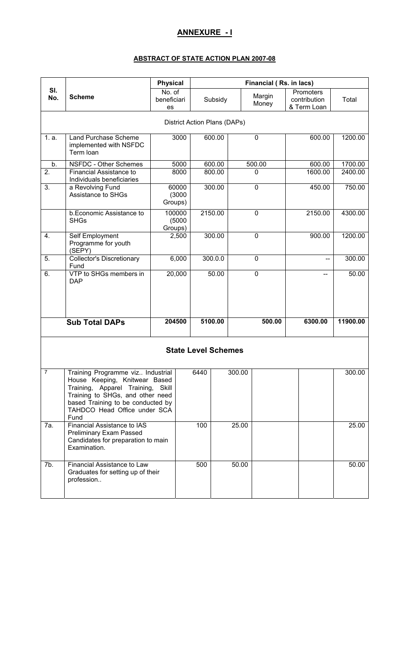# **ANNEXURE - I**

#### **ABSTRACT OF STATE ACTION PLAN 2007-08**

|                |                                                                                                                                                                                                                          | <b>Physical</b>             | Financial (Rs. in lacs)      |         |             |                 |                                          |          |
|----------------|--------------------------------------------------------------------------------------------------------------------------------------------------------------------------------------------------------------------------|-----------------------------|------------------------------|---------|-------------|-----------------|------------------------------------------|----------|
| SI.<br>No.     | <b>Scheme</b>                                                                                                                                                                                                            | No. of<br>beneficiari<br>es |                              | Subsidy |             | Margin<br>Money | Promoters<br>contribution<br>& Term Loan | Total    |
|                |                                                                                                                                                                                                                          |                             | District Action Plans (DAPs) |         |             |                 |                                          |          |
| 1. a.          | <b>Land Purchase Scheme</b><br>implemented with NSFDC<br>Term loan                                                                                                                                                       | 3000                        |                              | 600.00  | $\mathbf 0$ |                 | 600.00                                   | 1200.00  |
| b.             | NSFDC - Other Schemes                                                                                                                                                                                                    | 5000                        |                              | 600.00  | 500.00      |                 | 600.00                                   | 1700.00  |
| 2.             | Financial Assistance to<br>Individuals beneficiaries                                                                                                                                                                     | 8000                        |                              | 800.00  | 0           |                 | 1600.00                                  | 2400.00  |
| 3.             | a Revolving Fund<br><b>Assistance to SHGs</b>                                                                                                                                                                            | 60000<br>(3000)<br>Groups)  |                              | 300.00  | $\mathbf 0$ |                 | 450.00                                   | 750.00   |
|                | b.Economic Assistance to<br><b>SHGs</b>                                                                                                                                                                                  | 100000<br>(5000)<br>Groups) |                              | 2150.00 | $\mathbf 0$ |                 | 2150.00                                  | 4300.00  |
| 4.             | Self Employment<br>Programme for youth<br>(SEPY)                                                                                                                                                                         | 2,500                       |                              | 300.00  | $\mathbf 0$ |                 | 900.00                                   | 1200.00  |
| 5.             | <b>Collector's Discretionary</b><br>Fund                                                                                                                                                                                 | 6,000                       |                              | 300.0.0 | $\mathbf 0$ |                 | --                                       | 300.00   |
| 6.             | VTP to SHGs members in<br><b>DAP</b>                                                                                                                                                                                     | 20,000                      |                              | 50.00   | $\mathbf 0$ |                 |                                          | 50.00    |
|                | <b>Sub Total DAPs</b>                                                                                                                                                                                                    | 204500                      |                              | 5100.00 |             | 500.00          | 6300.00                                  | 11900.00 |
|                |                                                                                                                                                                                                                          |                             | <b>State Level Schemes</b>   |         |             |                 |                                          |          |
| $\overline{7}$ | Training Programme viz Industrial<br>House Keeping, Knitwear Based<br>Training, Apparel Training, Skill<br>Training to SHGs, and other need<br>based Training to be conducted by<br>TAHDCO Head Office under SCA<br>Fund |                             | 6440                         | 300.00  |             |                 |                                          | 300.00   |
| 7a.            | Financial Assistance to IAS<br><b>Preliminary Exam Passed</b><br>Candidates for preparation to main<br>Examination.                                                                                                      |                             | 100                          | 25.00   |             |                 |                                          | 25.00    |
| 7b.            | Financial Assistance to Law<br>Graduates for setting up of their<br>profession                                                                                                                                           |                             | 500                          |         | 50.00       |                 |                                          | 50.00    |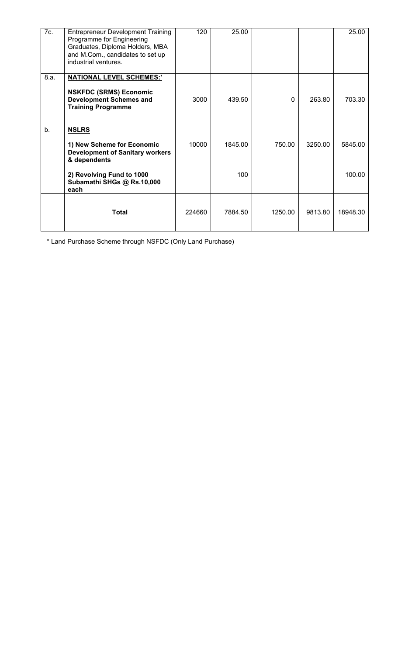| 7c.  | <b>Entrepreneur Development Training</b><br>Programme for Engineering<br>Graduates, Diploma Holders, MBA<br>and M.Com., candidates to set up<br>industrial ventures. | 120    | 25.00   |          |         | 25.00    |
|------|----------------------------------------------------------------------------------------------------------------------------------------------------------------------|--------|---------|----------|---------|----------|
| 8.a. | <b>NATIONAL LEVEL SCHEMES:'</b><br><b>NSKFDC (SRMS) Economic</b><br><b>Development Schemes and</b><br><b>Training Programme</b>                                      | 3000   | 439.50  | $\Omega$ | 263.80  | 703.30   |
| b.   | <b>NSLRS</b><br>1) New Scheme for Economic<br><b>Development of Sanitary workers</b><br>& dependents                                                                 | 10000  | 1845.00 | 750.00   | 3250.00 | 5845.00  |
|      | 2) Revolving Fund to 1000<br>Subamathi SHGs @ Rs.10,000<br>each                                                                                                      |        | 100     |          |         | 100.00   |
|      | <b>Total</b>                                                                                                                                                         | 224660 | 7884.50 | 1250.00  | 9813.80 | 18948.30 |

\* Land Purchase Scheme through NSFDC (Only Land Purchase)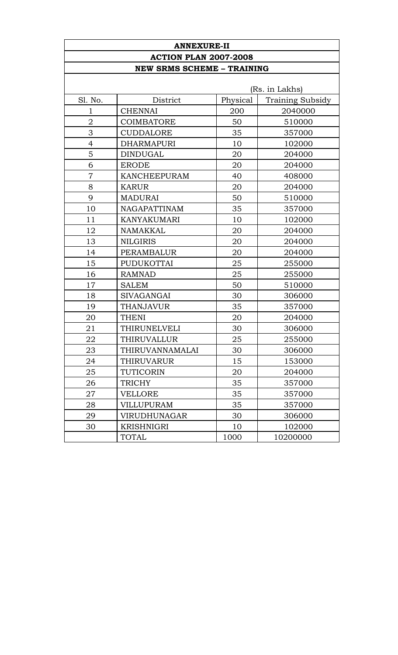| <b>ANNEXURE-II</b>                |                        |          |                         |  |  |  |  |  |
|-----------------------------------|------------------------|----------|-------------------------|--|--|--|--|--|
| <b>ACTION PLAN 2007-2008</b>      |                        |          |                         |  |  |  |  |  |
| <b>NEW SRMS SCHEME - TRAINING</b> |                        |          |                         |  |  |  |  |  |
| (Rs. in Lakhs)                    |                        |          |                         |  |  |  |  |  |
| Sl. No.                           | District               | Physical | <b>Training Subsidy</b> |  |  |  |  |  |
| 1                                 | <b>CHENNAI</b>         | 200      | 2040000                 |  |  |  |  |  |
| $\overline{2}$                    | <b>COIMBATORE</b>      | 50       | 510000                  |  |  |  |  |  |
| 3                                 | <b>CUDDALORE</b>       | 35       | 357000                  |  |  |  |  |  |
| $\overline{4}$                    | <b>DHARMAPURI</b>      | 10       | 102000                  |  |  |  |  |  |
| 5                                 | <b>DINDUGAL</b>        | 20       | 204000                  |  |  |  |  |  |
| 6                                 | <b>ERODE</b>           | 20       | 204000                  |  |  |  |  |  |
| $\overline{7}$                    | KANCHEEPURAM           | 40       | 408000                  |  |  |  |  |  |
| 8                                 | <b>KARUR</b>           | 20       | 204000                  |  |  |  |  |  |
| 9                                 | <b>MADURAI</b>         | 50       | 510000                  |  |  |  |  |  |
| 10                                | <b>NAGAPATTINAM</b>    |          | 357000                  |  |  |  |  |  |
| 11                                | <b>KANYAKUMARI</b>     | 10       | 102000                  |  |  |  |  |  |
| 12                                | <b>NAMAKKAL</b>        | 20       | 204000                  |  |  |  |  |  |
| 13                                | <b>NILGIRIS</b>        | 20       | 204000                  |  |  |  |  |  |
| 14                                | PERAMBALUR             | 20       | 204000                  |  |  |  |  |  |
| 15                                | PUDUKOTTAI             | 25       | 255000                  |  |  |  |  |  |
| 16                                | <b>RAMNAD</b>          | 25       | 255000                  |  |  |  |  |  |
| 17                                | <b>SALEM</b>           | 50       | 510000                  |  |  |  |  |  |
| 18                                | <b>SIVAGANGAI</b>      | 30       | 306000                  |  |  |  |  |  |
| 19                                | <b>THANJAVUR</b>       | 35       | 357000                  |  |  |  |  |  |
| 20                                | <b>THENI</b>           | 20       | 204000                  |  |  |  |  |  |
| 21                                | THIRUNELVELI           | 30       | 306000                  |  |  |  |  |  |
| 22                                | THIRUVALLUR            | 25       | 255000                  |  |  |  |  |  |
| 23                                | <b>THIRUVANNAMALAI</b> | 30       | 306000                  |  |  |  |  |  |
| 24                                | THIRUVARUR             | 15       | 153000                  |  |  |  |  |  |
| 25                                | TUTICORIN              | 20       | 204000                  |  |  |  |  |  |
| 26                                | TRICHY                 | 35       | 357000                  |  |  |  |  |  |
| 27                                | <b>VELLORE</b>         | 35       | 357000                  |  |  |  |  |  |
| 28                                | <b>VILLUPURAM</b>      | 35       | 357000                  |  |  |  |  |  |
| 29                                | <b>VIRUDHUNAGAR</b>    | 30       | 306000                  |  |  |  |  |  |
| 30                                | KRISHNIGRI             | 10       | 102000                  |  |  |  |  |  |
|                                   | TOTAL                  | 1000     | 10200000                |  |  |  |  |  |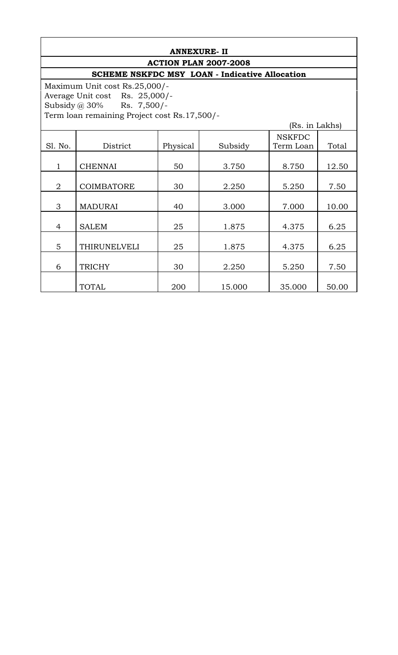# **ANNEXURE- II ACTION PLAN 2007-2008**

# **SCHEME NSKFDC MSY LOAN - Indicative Allocation**

Maximum Unit cost Rs.25,000/- Average Unit cost Rs. 25,000/- Subsidy @ 30% Rs. 7,500/- Term loan remaining Project cost Rs.17,500/-

| (Rs. in Lakhs) |                   |          |         |               |       |  |  |  |
|----------------|-------------------|----------|---------|---------------|-------|--|--|--|
|                |                   |          |         | <b>NSKFDC</b> |       |  |  |  |
| Sl. No.        | District          | Physical | Subsidy | Term Loan     | Total |  |  |  |
|                |                   |          |         |               |       |  |  |  |
| $\mathbf{1}$   | <b>CHENNAI</b>    | 50       | 3.750   | 8.750         | 12.50 |  |  |  |
|                |                   |          |         |               |       |  |  |  |
| $\overline{2}$ | <b>COIMBATORE</b> | 30       | 2.250   | 5.250         | 7.50  |  |  |  |
|                |                   |          |         |               |       |  |  |  |
| 3              | <b>MADURAI</b>    | 40       | 3.000   | 7.000         | 10.00 |  |  |  |
|                |                   |          |         |               |       |  |  |  |
| 4              | <b>SALEM</b>      | 25       | 1.875   | 4.375         | 6.25  |  |  |  |
|                |                   |          |         |               |       |  |  |  |
| 5              | THIRUNELVELI      | 25       | 1.875   | 4.375         | 6.25  |  |  |  |
|                |                   |          |         |               |       |  |  |  |
| 6              | <b>TRICHY</b>     | 30       | 2.250   | 5.250         | 7.50  |  |  |  |
|                |                   |          |         |               |       |  |  |  |
|                | <b>TOTAL</b>      | 200      | 15.000  | 35.000        | 50.00 |  |  |  |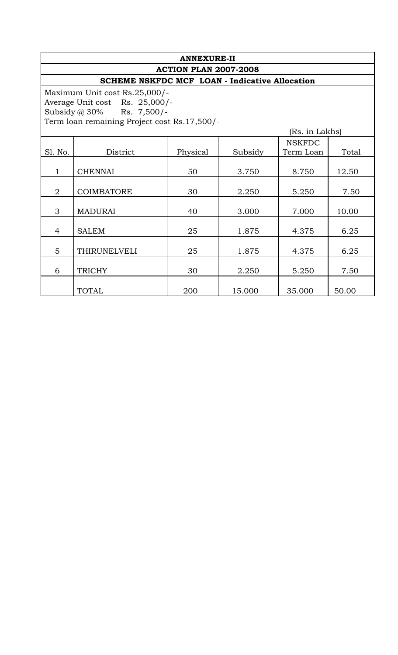| <b>ANNEXURE-II</b>           |                                                                |          |         |           |       |  |  |  |  |  |
|------------------------------|----------------------------------------------------------------|----------|---------|-----------|-------|--|--|--|--|--|
| <b>ACTION PLAN 2007-2008</b> |                                                                |          |         |           |       |  |  |  |  |  |
|                              | <b>SCHEME NSKFDC MCF LOAN - Indicative Allocation</b>          |          |         |           |       |  |  |  |  |  |
|                              | Maximum Unit cost Rs.25,000/-                                  |          |         |           |       |  |  |  |  |  |
|                              | Average Unit cost Rs. 25,000/-                                 |          |         |           |       |  |  |  |  |  |
|                              | Subsidy @ $30\%$ Rs. 7,500/-                                   |          |         |           |       |  |  |  |  |  |
|                              | Term loan remaining Project cost Rs.17,500/-<br>(Rs. in Lakhs) |          |         |           |       |  |  |  |  |  |
|                              | <b>NSKFDC</b>                                                  |          |         |           |       |  |  |  |  |  |
| Sl. No.                      | District                                                       | Physical | Subsidy | Term Loan | Total |  |  |  |  |  |
| $\mathbf{1}$                 | <b>CHENNAI</b>                                                 | 50       | 3.750   | 8.750     | 12.50 |  |  |  |  |  |
|                              |                                                                |          |         |           |       |  |  |  |  |  |
| $\overline{2}$               | <b>COIMBATORE</b>                                              | 30       | 2.250   | 5.250     | 7.50  |  |  |  |  |  |
| 3                            | <b>MADURAI</b>                                                 | 40       | 3.000   | 7.000     | 10.00 |  |  |  |  |  |
| 4                            | <b>SALEM</b>                                                   | 25       | 1.875   | 4.375     | 6.25  |  |  |  |  |  |
| 5                            | THIRUNELVELI                                                   | 25       | 1.875   | 4.375     | 6.25  |  |  |  |  |  |
| 6                            | <b>TRICHY</b>                                                  | 30       | 2.250   | 5.250     | 7.50  |  |  |  |  |  |
|                              | <b>TOTAL</b>                                                   | 200      | 15.000  | 35.000    | 50.00 |  |  |  |  |  |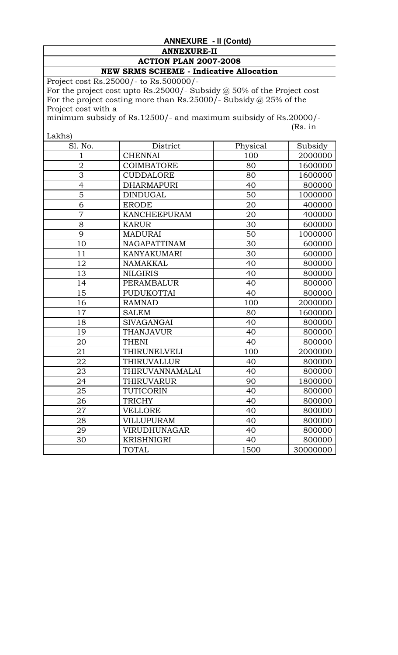# **ANNEXURE - II (Contd)**

# **ANNEXURE-II ACTION PLAN 2007-2008**

# **NEW SRMS SCHEME - Indicative Allocation**

Project cost Rs.25000/- to Rs.500000/- For the project cost upto Rs.25000/- Subsidy  $@$  50% of the Project cost For the project costing more than Rs.25000/- Subsidy @ 25% of the Project cost with a

minimum subsidy of Rs.12500/- and maximum suibsidy of Rs.20000/- (Rs. in

 $\vert$  Lakhs)

| Lakiis)        |                     |          |          |
|----------------|---------------------|----------|----------|
| Sl. No.        | District            | Physical | Subsidy  |
| 1              | <b>CHENNAI</b>      | 100      | 2000000  |
| $\overline{2}$ | <b>COIMBATORE</b>   | 80       | 1600000  |
| $\overline{3}$ | <b>CUDDALORE</b>    | 80       | 1600000  |
| $\overline{4}$ | <b>DHARMAPURI</b>   | 40       | 800000   |
| $\overline{5}$ | <b>DINDUGAL</b>     | 50       | 1000000  |
| 6              | <b>ERODE</b>        | 20       | 400000   |
| $\overline{7}$ | <b>KANCHEEPURAM</b> | 20       | 400000   |
| 8              | <b>KARUR</b>        | 30       | 600000   |
| 9              | <b>MADURAI</b>      | 50       | 1000000  |
| 10             | NAGAPATTINAM        | 30       | 600000   |
| 11             | <b>KANYAKUMARI</b>  | 30       | 600000   |
| 12             | NAMAKKAL            | 40       | 800000   |
| 13             | <b>NILGIRIS</b>     | 40       | 800000   |
| 14             | PERAMBALUR          | 40       | 800000   |
| 15             | PUDUKOTTAI          | 40       | 800000   |
| 16             | <b>RAMNAD</b>       | 100      | 2000000  |
| 17             | <b>SALEM</b>        | 80       | 1600000  |
| 18             | <b>SIVAGANGAI</b>   | 40       | 800000   |
| 19             | <b>THANJAVUR</b>    | 40       | 800000   |
| 20             | <b>THENI</b>        | 40       | 800000   |
| 21             | THIRUNELVELI        | 100      | 2000000  |
| 22             | THIRUVALLUR         | 40       | 800000   |
| 23             | THIRUVANNAMALAI     | 40       | 800000   |
| 24             | THIRUVARUR          | 90       | 1800000  |
| 25             | TUTICORIN           | 40       | 800000   |
| 26             | <b>TRICHY</b>       | 40       | 800000   |
| 27             | <b>VELLORE</b>      | 40       | 800000   |
| 28             | <b>VILLUPURAM</b>   | 40       | 800000   |
| 29             | VIRUDHUNAGAR        | 40       | 800000   |
| 30             | <b>KRISHNIGRI</b>   | 40       | 800000   |
|                | <b>TOTAL</b>        | 1500     | 30000000 |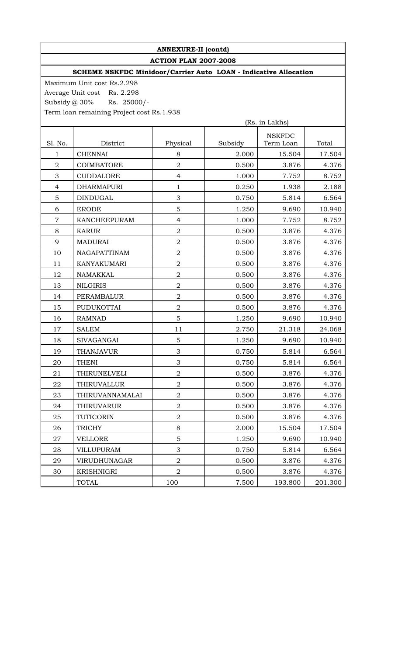# **ANNEXURE-II (contd)**

**ACTION PLAN 2007-2008** 

# **SCHEME NSKFDC Minidoor/Carrier Auto LOAN - Indicative Allocation**

Maximum Unit cost Rs.2.298 Average Unit cost Rs. 2.298 Subsidy @ 30% Rs. 25000/-Term loan remaining Project cost Rs.1.938

|                  | (Rs. in Lakhs)    |                  |         |               |         |
|------------------|-------------------|------------------|---------|---------------|---------|
|                  |                   |                  |         | <b>NSKFDC</b> |         |
| Sl. No.          | District          | Physical         | Subsidy | Term Loan     | Total   |
| $\mathbf{1}$     | <b>CHENNAI</b>    | 8                | 2.000   | 15.504        | 17.504  |
| $\boldsymbol{2}$ | <b>COIMBATORE</b> | $\overline{2}$   | 0.500   | 3.876         | 4.376   |
| 3                | <b>CUDDALORE</b>  | $\overline{4}$   | 1.000   | 7.752         | 8.752   |
| $\overline{4}$   | <b>DHARMAPURI</b> | $\mathbf{1}$     | 0.250   | 1.938         | 2.188   |
| 5                | <b>DINDUGAL</b>   | 3                | 0.750   | 5.814         | 6.564   |
| 6                | <b>ERODE</b>      | 5                | 1.250   | 9.690         | 10.940  |
| $\overline{7}$   | KANCHEEPURAM      | $\overline{4}$   | 1.000   | 7.752         | 8.752   |
| $8\,$            | <b>KARUR</b>      | $\overline{2}$   | 0.500   | 3.876         | 4.376   |
| 9                | <b>MADURAI</b>    | $\boldsymbol{2}$ | 0.500   | 3.876         | 4.376   |
| 10               | NAGAPATTINAM      | $\overline{2}$   | 0.500   | 3.876         | 4.376   |
| 11               | KANYAKUMARI       | $\overline{2}$   | 0.500   | 3.876         | 4.376   |
| 12               | NAMAKKAL          | $\overline{2}$   | 0.500   | 3.876         | 4.376   |
| 13               | <b>NILGIRIS</b>   | $\overline{2}$   | 0.500   | 3.876         | 4.376   |
| 14               | PERAMBALUR        | $\overline{2}$   | 0.500   | 3.876         | 4.376   |
| 15               | PUDUKOTTAI        | $\boldsymbol{2}$ | 0.500   | 3.876         | 4.376   |
| 16               | <b>RAMNAD</b>     | 5                | 1.250   | 9.690         | 10.940  |
| 17               | <b>SALEM</b>      | 11               | 2.750   | 21.318        | 24.068  |
| 18               | <b>SIVAGANGAI</b> | 5                | 1.250   | 9.690         | 10.940  |
| 19               | <b>THANJAVUR</b>  | 3                | 0.750   | 5.814         | 6.564   |
| 20               | <b>THENI</b>      | 3                | 0.750   | 5.814         | 6.564   |
| 21               | THIRUNELVELI      | $\overline{a}$   | 0.500   | 3.876         | 4.376   |
| 22               | THIRUVALLUR       | $\overline{2}$   | 0.500   | 3.876         | 4.376   |
| 23               | THIRUVANNAMALAI   | $\overline{2}$   | 0.500   | 3.876         | 4.376   |
| 24               | THIRUVARUR        | $\overline{2}$   | 0.500   | 3.876         | 4.376   |
| 25               | TUTICORIN         | $\boldsymbol{2}$ | 0.500   | 3.876         | 4.376   |
| 26               | <b>TRICHY</b>     | 8                | 2.000   | 15.504        | 17.504  |
| 27               | <b>VELLORE</b>    | 5                | 1.250   | 9.690         | 10.940  |
| 28               | <b>VILLUPURAM</b> | 3                | 0.750   | 5.814         | 6.564   |
| 29               | VIRUDHUNAGAR      | $\overline{2}$   | 0.500   | 3.876         | 4.376   |
| 30               | KRISHNIGRI        | $\overline{2}$   | 0.500   | 3.876         | 4.376   |
|                  | TOTAL             | 100              | 7.500   | 193.800       | 201.300 |